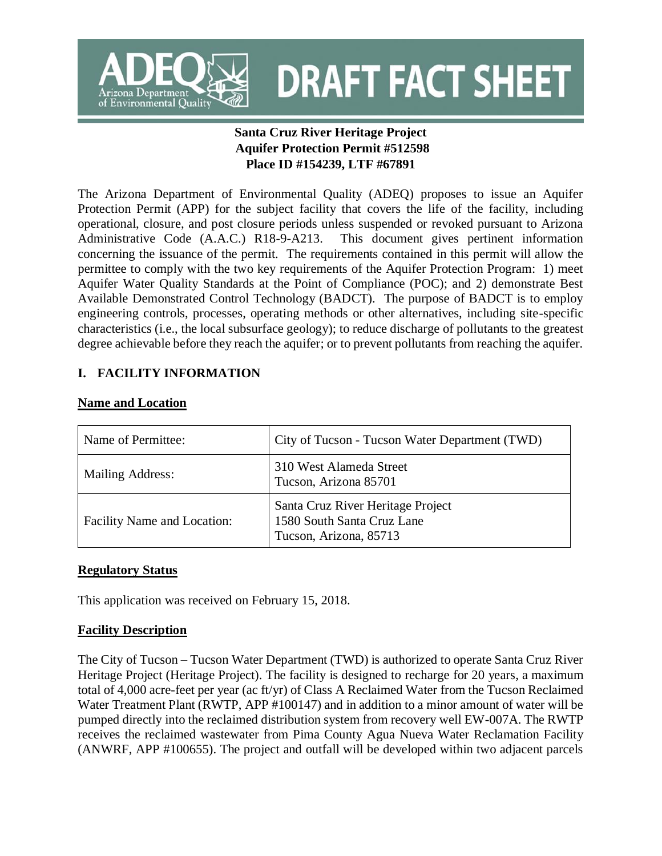

**DRAFT FACT SHEET** 

# **Santa Cruz River Heritage Project Aquifer Protection Permit #512598 Place ID #154239, LTF #67891**

The Arizona Department of Environmental Quality (ADEQ) proposes to issue an Aquifer Protection Permit (APP) for the subject facility that covers the life of the facility, including operational, closure, and post closure periods unless suspended or revoked pursuant to Arizona Administrative Code (A.A.C.) R18-9-A213. This document gives pertinent information concerning the issuance of the permit. The requirements contained in this permit will allow the permittee to comply with the two key requirements of the Aquifer Protection Program: 1) meet Aquifer Water Quality Standards at the Point of Compliance (POC); and 2) demonstrate Best Available Demonstrated Control Technology (BADCT). The purpose of BADCT is to employ engineering controls, processes, operating methods or other alternatives, including site-specific characteristics (i.e., the local subsurface geology); to reduce discharge of pollutants to the greatest degree achievable before they reach the aquifer; or to prevent pollutants from reaching the aquifer.

# **I. FACILITY INFORMATION**

### **Name and Location**

| Name of Permittee:          | City of Tucson - Tucson Water Department (TWD)                                            |  |
|-----------------------------|-------------------------------------------------------------------------------------------|--|
| <b>Mailing Address:</b>     | 310 West Alameda Street<br>Tucson, Arizona 85701                                          |  |
| Facility Name and Location: | Santa Cruz River Heritage Project<br>1580 South Santa Cruz Lane<br>Tucson, Arizona, 85713 |  |

### **Regulatory Status**

This application was received on February 15, 2018.

# **Facility Description**

The City of Tucson – Tucson Water Department (TWD) is authorized to operate Santa Cruz River Heritage Project (Heritage Project). The facility is designed to recharge for 20 years, a maximum total of 4,000 acre-feet per year (ac ft/yr) of Class A Reclaimed Water from the Tucson Reclaimed Water Treatment Plant (RWTP, APP #100147) and in addition to a minor amount of water will be pumped directly into the reclaimed distribution system from recovery well EW-007A. The RWTP receives the reclaimed wastewater from Pima County Agua Nueva Water Reclamation Facility (ANWRF, APP #100655). The project and outfall will be developed within two adjacent parcels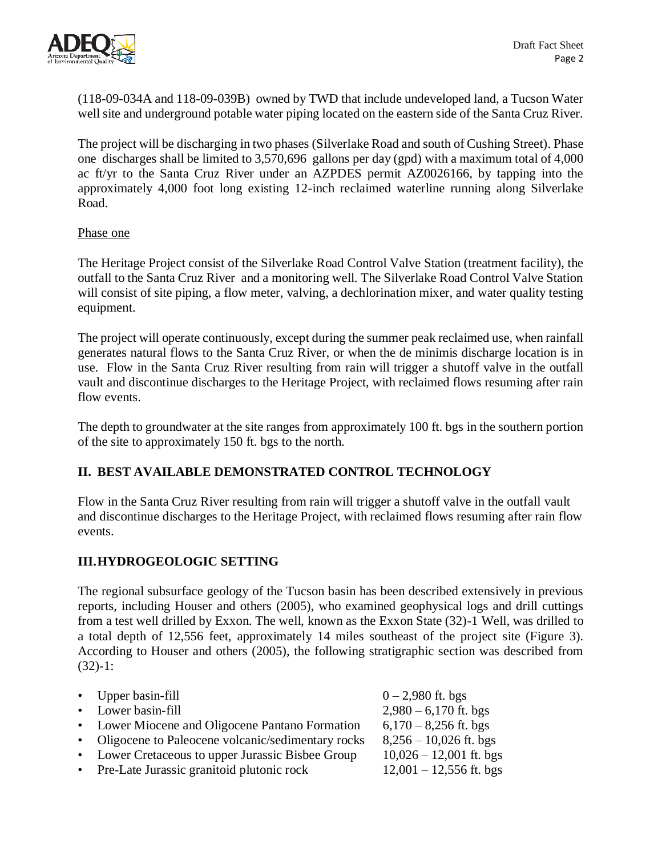

(118-09-034A and 118-09-039B) owned by TWD that include undeveloped land, a Tucson Water well site and underground potable water piping located on the eastern side of the Santa Cruz River.

The project will be discharging in two phases (Silverlake Road and south of Cushing Street). Phase one discharges shall be limited to 3,570,696 gallons per day (gpd) with a maximum total of 4,000 ac ft/yr to the Santa Cruz River under an AZPDES permit AZ0026166, by tapping into the approximately 4,000 foot long existing 12-inch reclaimed waterline running along Silverlake Road.

#### Phase one

The Heritage Project consist of the Silverlake Road Control Valve Station (treatment facility), the outfall to the Santa Cruz River and a monitoring well. The Silverlake Road Control Valve Station will consist of site piping, a flow meter, valving, a dechlorination mixer, and water quality testing equipment.

The project will operate continuously, except during the summer peak reclaimed use, when rainfall generates natural flows to the Santa Cruz River, or when the de minimis discharge location is in use. Flow in the Santa Cruz River resulting from rain will trigger a shutoff valve in the outfall vault and discontinue discharges to the Heritage Project, with reclaimed flows resuming after rain flow events.

The depth to groundwater at the site ranges from approximately 100 ft. bgs in the southern portion of the site to approximately 150 ft. bgs to the north.

### **II. BEST AVAILABLE DEMONSTRATED CONTROL TECHNOLOGY**

Flow in the Santa Cruz River resulting from rain will trigger a shutoff valve in the outfall vault and discontinue discharges to the Heritage Project, with reclaimed flows resuming after rain flow events.

# **III.HYDROGEOLOGIC SETTING**

The regional subsurface geology of the Tucson basin has been described extensively in previous reports, including Houser and others (2005), who examined geophysical logs and drill cuttings from a test well drilled by Exxon. The well, known as the Exxon State (32)-1 Well, was drilled to a total depth of 12,556 feet, approximately 14 miles southeast of the project site (Figure 3). According to Houser and others (2005), the following stratigraphic section was described from (32)-1:

| • Upper basin-fill                                  | $0 - 2,980$ ft. bgs       |
|-----------------------------------------------------|---------------------------|
| • Lower basin-fill                                  | $2,980 - 6,170$ ft. bgs   |
|                                                     |                           |
| • Lower Miocene and Oligocene Pantano Formation     | $6,170 - 8,256$ ft. bgs   |
| • Oligocene to Paleocene volcanic/sedimentary rocks | $8,256 - 10,026$ ft. bgs  |
| • Lower Cretaceous to upper Jurassic Bisbee Group   | $10,026 - 12,001$ ft. bgs |
| • Pre-Late Jurassic granitoid plutonic rock         | $12,001 - 12,556$ ft. bgs |
|                                                     |                           |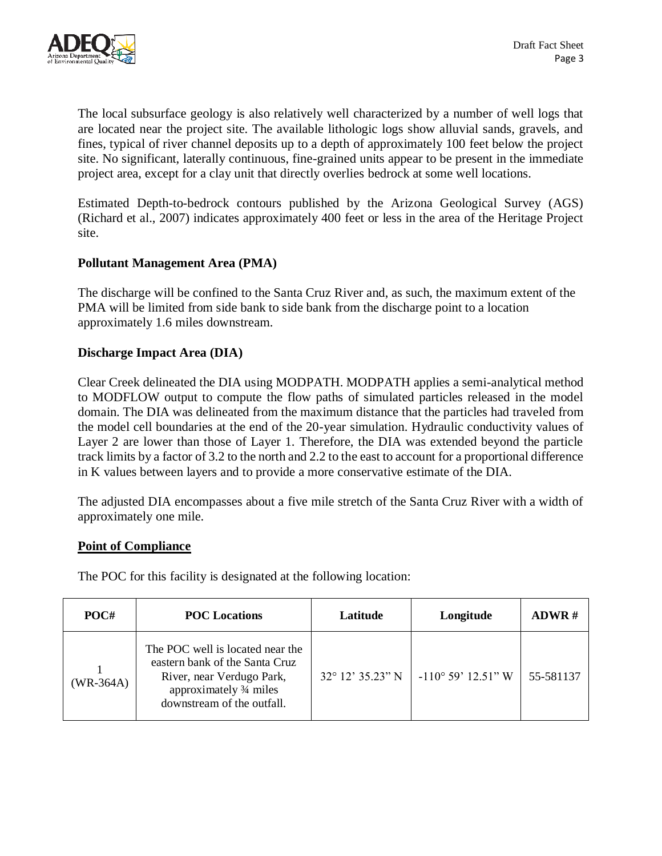

The local subsurface geology is also relatively well characterized by a number of well logs that are located near the project site. The available lithologic logs show alluvial sands, gravels, and fines, typical of river channel deposits up to a depth of approximately 100 feet below the project site. No significant, laterally continuous, fine-grained units appear to be present in the immediate project area, except for a clay unit that directly overlies bedrock at some well locations.

Estimated Depth-to-bedrock contours published by the Arizona Geological Survey (AGS) (Richard et al., 2007) indicates approximately 400 feet or less in the area of the Heritage Project site.

### **Pollutant Management Area (PMA)**

The discharge will be confined to the Santa Cruz River and, as such, the maximum extent of the PMA will be limited from side bank to side bank from the discharge point to a location approximately 1.6 miles downstream.

### **Discharge Impact Area (DIA)**

Clear Creek delineated the DIA using MODPATH. MODPATH applies a semi-analytical method to MODFLOW output to compute the flow paths of simulated particles released in the model domain. The DIA was delineated from the maximum distance that the particles had traveled from the model cell boundaries at the end of the 20-year simulation. Hydraulic conductivity values of Layer 2 are lower than those of Layer 1. Therefore, the DIA was extended beyond the particle track limits by a factor of 3.2 to the north and 2.2 to the east to account for a proportional difference in K values between layers and to provide a more conservative estimate of the DIA.

The adjusted DIA encompasses about a five mile stretch of the Santa Cruz River with a width of approximately one mile.

### **Point of Compliance**

The POC for this facility is designated at the following location:

| POC#        | <b>POC</b> Locations                                                                                                                                     | Latitude         | Longitude                   | $ADWR$ #  |
|-------------|----------------------------------------------------------------------------------------------------------------------------------------------------------|------------------|-----------------------------|-----------|
| $(WR-364A)$ | The POC well is located near the<br>eastern bank of the Santa Cruz<br>River, near Verdugo Park,<br>approximately 3/4 miles<br>downstream of the outfall. | 32° 12' 35.23" N | $-110^{\circ}$ 59' 12.51" W | 55-581137 |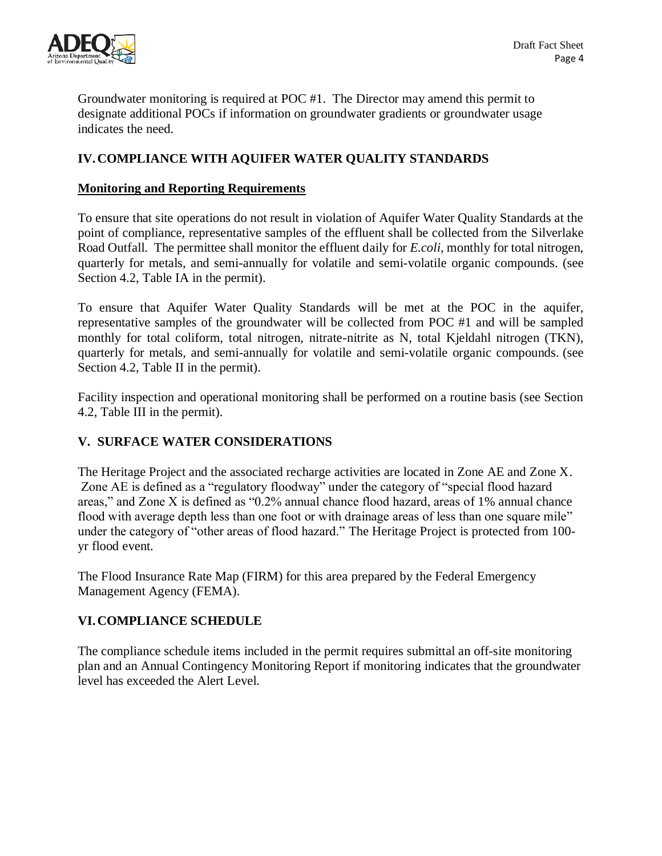

Groundwater monitoring is required at POC #1. The Director may amend this permit to designate additional POCs if information on groundwater gradients or groundwater usage indicates the need.

# **IV.COMPLIANCE WITH AQUIFER WATER QUALITY STANDARDS**

### **Monitoring and Reporting Requirements**

To ensure that site operations do not result in violation of Aquifer Water Quality Standards at the point of compliance, representative samples of the effluent shall be collected from the Silverlake Road Outfall. The permittee shall monitor the effluent daily for *E.coli*, monthly for total nitrogen, quarterly for metals, and semi-annually for volatile and semi-volatile organic compounds. (see Section 4.2, Table IA in the permit).

To ensure that Aquifer Water Quality Standards will be met at the POC in the aquifer, representative samples of the groundwater will be collected from POC #1 and will be sampled monthly for total coliform, total nitrogen, nitrate-nitrite as N, total Kjeldahl nitrogen (TKN), quarterly for metals, and semi-annually for volatile and semi-volatile organic compounds. (see Section 4.2, Table II in the permit).

Facility inspection and operational monitoring shall be performed on a routine basis (see Section 4.2, Table III in the permit).

# **V. SURFACE WATER CONSIDERATIONS**

The Heritage Project and the associated recharge activities are located in Zone AE and Zone X. Zone AE is defined as a "regulatory floodway" under the category of "special flood hazard areas," and Zone X is defined as "0.2% annual chance flood hazard, areas of 1% annual chance flood with average depth less than one foot or with drainage areas of less than one square mile" under the category of "other areas of flood hazard." The Heritage Project is protected from 100 yr flood event.

The Flood Insurance Rate Map (FIRM) for this area prepared by the Federal Emergency Management Agency (FEMA).

# **VI.COMPLIANCE SCHEDULE**

The compliance schedule items included in the permit requires submittal an off-site monitoring plan and an Annual Contingency Monitoring Report if monitoring indicates that the groundwater level has exceeded the Alert Level.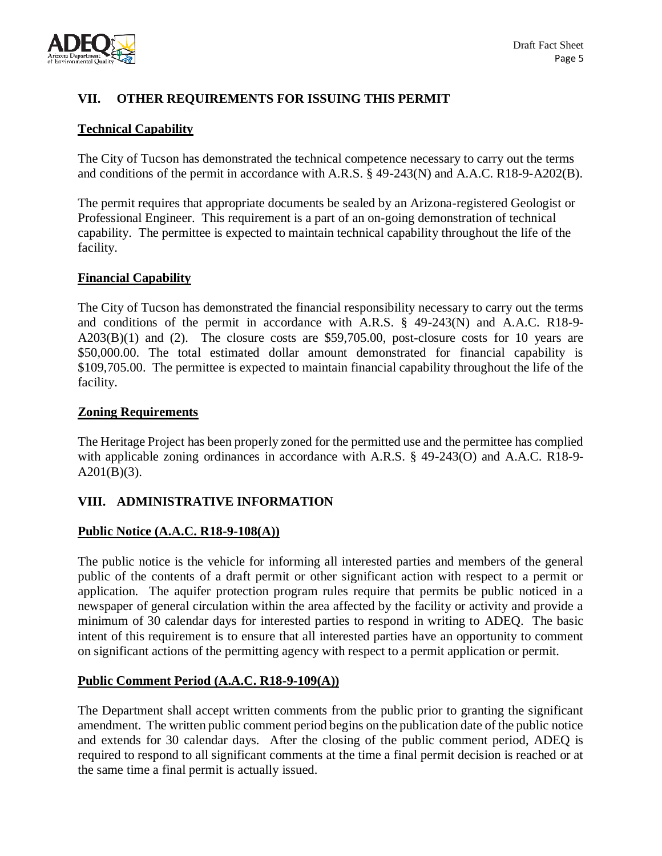

# **VII. OTHER REQUIREMENTS FOR ISSUING THIS PERMIT**

### **Technical Capability**

The City of Tucson has demonstrated the technical competence necessary to carry out the terms and conditions of the permit in accordance with A.R.S. § 49-243(N) and A.A.C. R18-9-A202(B).

The permit requires that appropriate documents be sealed by an Arizona-registered Geologist or Professional Engineer. This requirement is a part of an on-going demonstration of technical capability. The permittee is expected to maintain technical capability throughout the life of the facility.

### **Financial Capability**

The City of Tucson has demonstrated the financial responsibility necessary to carry out the terms and conditions of the permit in accordance with A.R.S. § 49-243(N) and A.A.C. R18-9-  $A203(B)(1)$  and (2). The closure costs are \$59,705.00, post-closure costs for 10 years are \$50,000.00. The total estimated dollar amount demonstrated for financial capability is \$109,705.00. The permittee is expected to maintain financial capability throughout the life of the facility.

#### **Zoning Requirements**

The Heritage Project has been properly zoned for the permitted use and the permittee has complied with applicable zoning ordinances in accordance with A.R.S. § 49-243(O) and A.A.C. R18-9- $A201(B)(3)$ .

### **VIII. ADMINISTRATIVE INFORMATION**

### **Public Notice (A.A.C. R18-9-108(A))**

The public notice is the vehicle for informing all interested parties and members of the general public of the contents of a draft permit or other significant action with respect to a permit or application. The aquifer protection program rules require that permits be public noticed in a newspaper of general circulation within the area affected by the facility or activity and provide a minimum of 30 calendar days for interested parties to respond in writing to ADEQ. The basic intent of this requirement is to ensure that all interested parties have an opportunity to comment on significant actions of the permitting agency with respect to a permit application or permit.

### **Public Comment Period (A.A.C. R18-9-109(A))**

The Department shall accept written comments from the public prior to granting the significant amendment. The written public comment period begins on the publication date of the public notice and extends for 30 calendar days. After the closing of the public comment period, ADEQ is required to respond to all significant comments at the time a final permit decision is reached or at the same time a final permit is actually issued.